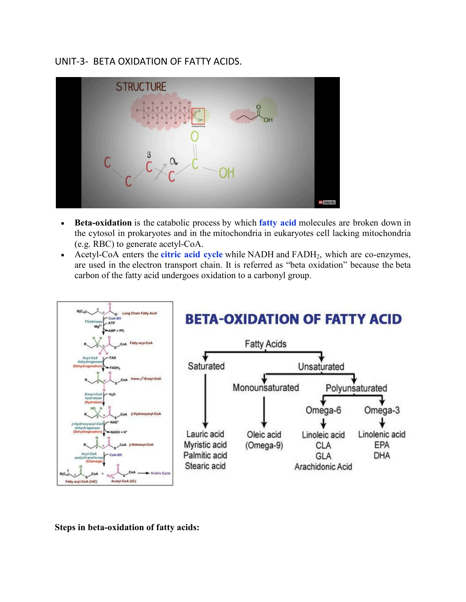## UNIT-3- BETA OXIDATION OF FATTY ACIDS.



- **Beta-oxidation** is the catabolic process by which **fatty acid** molecules are broken down in the cytosol in prokaryotes and in the mitochondria in eukaryotes cell lacking mitochondria (e.g. RBC) to generate acetyl-CoA.
- Acetyl-CoA enters the **citric acid cycle** while NADH and FADH2, which are co-enzymes, are used in the electron transport chain. It is referred as "beta oxidation" because the beta carbon of the fatty acid undergoes oxidation to a carbonyl group.



**Steps in beta-oxidation of fatty acids:**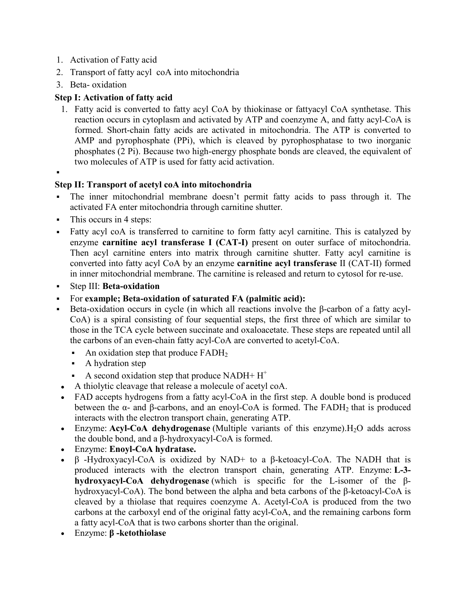- 1. Activation of Fatty acid
- 2. Transport of fatty acyl coA into mitochondria
- 3. Beta- oxidation

## **Step I: Activation of fatty acid**

- 1. Fatty acid is converted to fatty acyl CoA by thiokinase or fattyacyl CoA synthetase. This reaction occurs in cytoplasm and activated by ATP and coenzyme A, and fatty acyl-CoA is formed. Short-chain fatty acids are activated in mitochondria. The ATP is converted to AMP and pyrophosphate (PPi), which is cleaved by pyrophosphatase to two inorganic phosphates (2 Pi). Because two high-energy phosphate bonds are cleaved, the equivalent of two molecules of ATP is used for fatty acid activation.
- .

## **Step II: Transport of acetyl coA into mitochondria**

- The inner mitochondrial membrane doesn't permit fatty acids to pass through it. The activated FA enter mitochondria through carnitine shutter.
- This occurs in 4 steps:
- Fatty acyl coA is transferred to carnitine to form fatty acyl carnitine. This is catalyzed by enzyme **carnitine acyl transferase I (CAT-I)** present on outer surface of mitochondria. Then acyl carnitine enters into matrix through carnitine shutter. Fatty acyl carnitine is converted into fatty acyl CoA by an enzyme **carnitine acyl transferase** II (CAT-II) formed in inner mitochondrial membrane. The carnitine is released and return to cytosol for re-use.
- Step III: **Beta-oxidation**
- For **example; Beta-oxidation of saturated FA (palmitic acid):**
- Beta-oxidation occurs in cycle (in which all reactions involve the β-carbon of a fatty acyl-CoA) is a spiral consisting of four sequential steps, the first three of which are similar to those in the TCA cycle between succinate and oxaloacetate. These steps are repeated until all the carbons of an even-chain fatty acyl-CoA are converted to acetyl-CoA.
	- An oxidation step that produce  $FADH<sub>2</sub>$
	- A hydration step
	- A second oxidation step that produce NADH+  $H^+$
- A thiolytic cleavage that release a molecule of acetyl coA.
- FAD accepts hydrogens from a fatty acyl-CoA in the first step. A double bond is produced between the  $\alpha$ - and  $\beta$ -carbons, and an enoyl-CoA is formed. The FADH<sub>2</sub> that is produced interacts with the electron transport chain, generating ATP.
- Enzyme: **Acyl-CoA dehydrogenase** (Multiple variants of this enzyme). H<sub>2</sub>O adds across the double bond, and a β-hydroxyacyl-CoA is formed.
- Enzyme: **Enoyl-CoA hydratase.**
- β -Hydroxyacyl-CoA is oxidized by NAD+ to a β-ketoacyl-CoA. The NADH that is produced interacts with the electron transport chain, generating ATP. Enzyme: **L-3 hydroxyacyl-CoA dehydrogenase** (which is specific for the L-isomer of the βhydroxyacyl-CoA). The bond between the alpha and beta carbons of the β-ketoacyl-CoA is cleaved by a thiolase that requires coenzyme A. Acetyl-CoA is produced from the two carbons at the carboxyl end of the original fatty acyl-CoA, and the remaining carbons form a fatty acyl-CoA that is two carbons shorter than the original.
- Enzyme: **β -ketothiolase**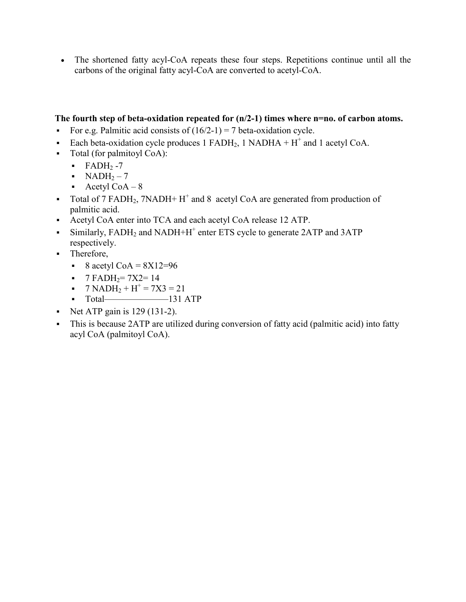The shortened fatty acyl-CoA repeats these four steps. Repetitions continue until all the carbons of the original fatty acyl-CoA are converted to acetyl-CoA.

## **The fourth step of beta-oxidation repeated for (n/2-1) times where n=no. of carbon atoms.**

- For e.g. Palmitic acid consists of  $(16/2-1) = 7$  beta-oxidation cycle.
- Each beta-oxidation cycle produces 1 FADH<sub>2</sub>, 1 NADHA + H<sup>+</sup> and 1 acetyl CoA.
- Total (for palmitoyl CoA):
	- $\blacksquare$  FADH<sub>2</sub> -7
	- $\blacksquare$  NADH<sub>2</sub> 7
	- Acetyl CoA  $-8$
- Total of 7 FADH<sub>2</sub>, 7NADH+  $H^+$  and 8 acetyl CoA are generated from production of palmitic acid.
- Acetyl CoA enter into TCA and each acetyl CoA release 12 ATP.
- Similarly,  $FADH<sub>2</sub>$  and NADH+H<sup>+</sup> enter ETS cycle to generate 2ATP and 3ATP respectively.
- Therefore,
	- $8 \text{ acetyl CoA} = 8 \text{X} 12 = 96$
	- $\blacksquare$  7 FADH<sub>2</sub> = 7X2 = 14
	- $7 \text{ NADH}_2 + \text{H}^+ = 7 \text{X} 3 = 21$
	- $\blacksquare$  Total————————131 ATP
- Net ATP gain is  $129$  (131-2).
- This is because 2ATP are utilized during conversion of fatty acid (palmitic acid) into fatty acyl CoA (palmitoyl CoA).